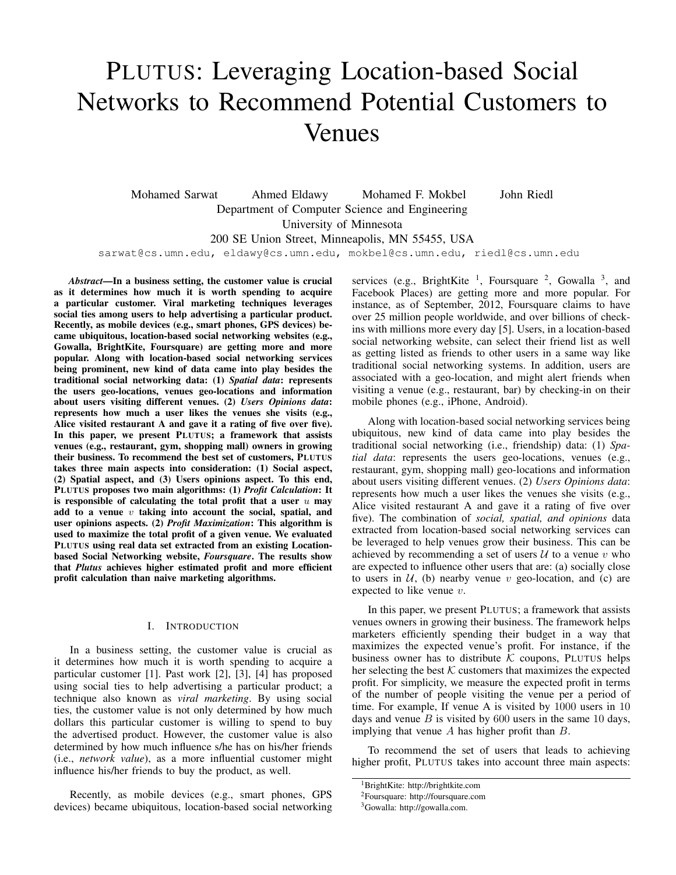# PLUTUS: Leveraging Location-based Social Networks to Recommend Potential Customers to Venues

Mohamed Sarwat Ahmed Eldawy Mohamed F. Mokbel John Riedl Department of Computer Science and Engineering University of Minnesota 200 SE Union Street, Minneapolis, MN 55455, USA sarwat@cs.umn.edu, eldawy@cs.umn.edu, mokbel@cs.umn.edu, riedl@cs.umn.edu

*Abstract*—In a business setting, the customer value is crucial as it determines how much it is worth spending to acquire a particular customer. Viral marketing techniques leverages social ties among users to help advertising a particular product. Recently, as mobile devices (e.g., smart phones, GPS devices) became ubiquitous, location-based social networking websites (e.g., Gowalla, BrightKite, Foursquare) are getting more and more popular. Along with location-based social networking services being prominent, new kind of data came into play besides the traditional social networking data: (1) *Spatial data*: represents the users geo-locations, venues geo-locations and information about users visiting different venues. (2) *Users Opinions data*: represents how much a user likes the venues she visits (e.g., Alice visited restaurant A and gave it a rating of five over five). In this paper, we present PLUTUS; a framework that assists venues (e.g., restaurant, gym, shopping mall) owners in growing their business. To recommend the best set of customers, PLUTUS takes three main aspects into consideration: (1) Social aspect, (2) Spatial aspect, and (3) Users opinions aspect. To this end, PLUTUS proposes two main algorithms: (1) *Profit Calculation*: It is responsible of calculating the total profit that a user  $u$  may add to a venue  $v$  taking into account the social, spatial, and user opinions aspects. (2) *Profit Maximization*: This algorithm is used to maximize the total profit of a given venue. We evaluated PLUTUS using real data set extracted from an existing Locationbased Social Networking website, *Foursquare*. The results show that *Plutus* achieves higher estimated profit and more efficient profit calculation than naive marketing algorithms.

## I. INTRODUCTION

In a business setting, the customer value is crucial as it determines how much it is worth spending to acquire a particular customer [1]. Past work [2], [3], [4] has proposed using social ties to help advertising a particular product; a technique also known as *viral marketing*. By using social ties, the customer value is not only determined by how much dollars this particular customer is willing to spend to buy the advertised product. However, the customer value is also determined by how much influence s/he has on his/her friends (i.e., *network value*), as a more influential customer might influence his/her friends to buy the product, as well.

Recently, as mobile devices (e.g., smart phones, GPS devices) became ubiquitous, location-based social networking

services (e.g., BrightKite<sup>1</sup>, Foursquare<sup>2</sup>, Gowalla<sup>3</sup>, and Facebook Places) are getting more and more popular. For instance, as of September, 2012, Foursquare claims to have over 25 million people worldwide, and over billions of checkins with millions more every day [5]. Users, in a location-based social networking website, can select their friend list as well as getting listed as friends to other users in a same way like traditional social networking systems. In addition, users are associated with a geo-location, and might alert friends when visiting a venue (e.g., restaurant, bar) by checking-in on their mobile phones (e.g., iPhone, Android).

Along with location-based social networking services being ubiquitous, new kind of data came into play besides the traditional social networking (i.e., friendship) data: (1) *Spatial data*: represents the users geo-locations, venues (e.g., restaurant, gym, shopping mall) geo-locations and information about users visiting different venues. (2) *Users Opinions data*: represents how much a user likes the venues she visits (e.g., Alice visited restaurant A and gave it a rating of five over five). The combination of *social, spatial, and opinions* data extracted from location-based social networking services can be leveraged to help venues grow their business. This can be achieved by recommending a set of users  $U$  to a venue v who are expected to influence other users that are: (a) socially close to users in  $U$ , (b) nearby venue v geo-location, and (c) are expected to like venue v.

In this paper, we present PLUTUS; a framework that assists venues owners in growing their business. The framework helps marketers efficiently spending their budget in a way that maximizes the expected venue's profit. For instance, if the business owner has to distribute  $K$  coupons, PLUTUS helps her selecting the best  $K$  customers that maximizes the expected profit. For simplicity, we measure the expected profit in terms of the number of people visiting the venue per a period of time. For example, If venue A is visited by 1000 users in 10 days and venue  $B$  is visited by 600 users in the same 10 days, implying that venue A has higher profit than B.

To recommend the set of users that leads to achieving higher profit, PLUTUS takes into account three main aspects:

<sup>&</sup>lt;sup>1</sup>BrightKite: http://brightkite.com

<sup>2</sup>Foursquare: http://foursquare.com

<sup>3</sup>Gowalla: http://gowalla.com.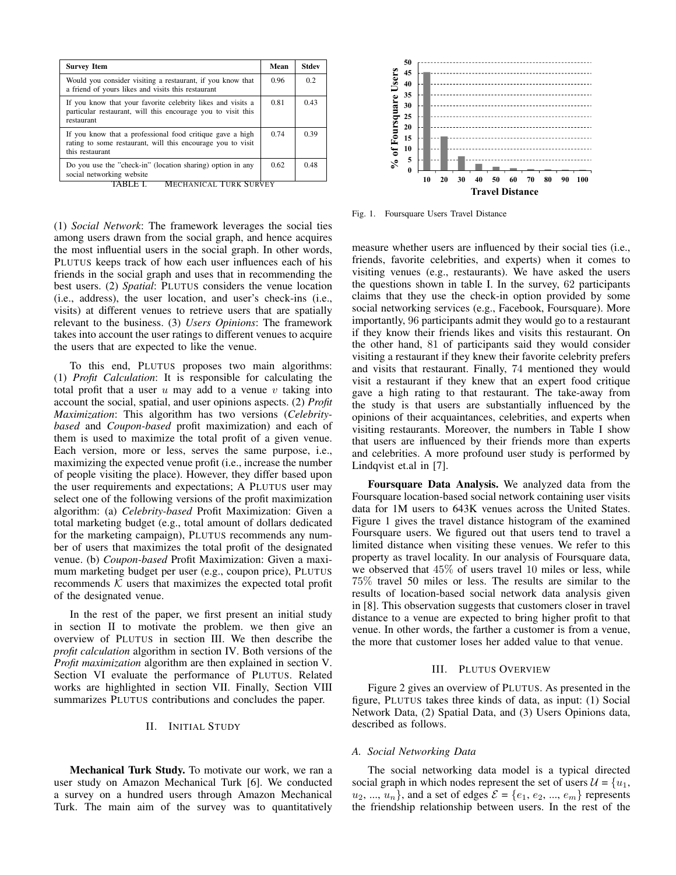| <b>Survey Item</b>                                                                                                                          | Mean | Stdev |
|---------------------------------------------------------------------------------------------------------------------------------------------|------|-------|
| Would you consider visiting a restaurant, if you know that<br>a friend of yours likes and visits this restaurant                            | 0.96 | 0.2   |
| If you know that your favorite celebrity likes and visits a<br>particular restaurant, will this encourage you to visit this<br>restaurant   | 0.81 | 0.43  |
| If you know that a professional food critique gave a high<br>rating to some restaurant, will this encourage you to visit<br>this restaurant | 0.74 | 0.39  |
| Do you use the "check-in" (location sharing) option in any<br>social networking website                                                     | 0.62 | 0.48  |

**MECHANICAL TURK SURVEY** 

(1) *Social Network*: The framework leverages the social ties among users drawn from the social graph, and hence acquires the most influential users in the social graph. In other words, PLUTUS keeps track of how each user influences each of his friends in the social graph and uses that in recommending the best users. (2) *Spatial*: PLUTUS considers the venue location (i.e., address), the user location, and user's check-ins (i.e., visits) at different venues to retrieve users that are spatially relevant to the business. (3) *Users Opinions*: The framework takes into account the user ratings to different venues to acquire the users that are expected to like the venue.

To this end, PLUTUS proposes two main algorithms: (1) *Profit Calculation*: It is responsible for calculating the total profit that a user  $u$  may add to a venue  $v$  taking into account the social, spatial, and user opinions aspects. (2) *Profit Maximization*: This algorithm has two versions (*Celebritybased* and *Coupon-based* profit maximization) and each of them is used to maximize the total profit of a given venue. Each version, more or less, serves the same purpose, i.e., maximizing the expected venue profit (i.e., increase the number of people visiting the place). However, they differ based upon the user requirements and expectations; A PLUTUS user may select one of the following versions of the profit maximization algorithm: (a) *Celebrity-based* Profit Maximization: Given a total marketing budget (e.g., total amount of dollars dedicated for the marketing campaign), PLUTUS recommends any number of users that maximizes the total profit of the designated venue. (b) *Coupon-based* Profit Maximization: Given a maximum marketing budget per user (e.g., coupon price), PLUTUS recommends  $K$  users that maximizes the expected total profit of the designated venue. **Example 19**<br>
Social newslete The main and the survey and the survey of the survey of TABLE I. MEGILANCAL TORK SOVEY<br>
(1) Social Newsork: The framework beerages the social ties<br>
the most aims and the survey was to determi

In the rest of the paper, we first present an initial study in section II to motivate the problem. we then give an overview of PLUTUS in section III. We then describe the *profit calculation* algorithm in section IV. Both versions of the *Profit maximization* algorithm are then explained in section V. Section VI evaluate the performance of PLUTUS. Related works are highlighted in section VII. Finally, Section VIII summarizes PLUTUS contributions and concludes the paper.

## II. INITIAL STUDY

Mechanical Turk Study. To motivate our work, we ran a user study on Amazon Mechanical Turk [6]. We conducted a survey on a hundred users through Amazon Mechanical



Fig. 1. Foursquare Users Travel Distance

measure whether users are influenced by their social ties (i.e., friends, favorite celebrities, and experts) when it comes to visiting venues (e.g., restaurants). We have asked the users the questions shown in table I. In the survey, 62 participants claims that they use the check-in option provided by some social networking services (e.g., Facebook, Foursquare). More importantly, 96 participants admit they would go to a restaurant if they know their friends likes and visits this restaurant. On the other hand, 81 of participants said they would consider visiting a restaurant if they knew their favorite celebrity prefers and visits that restaurant. Finally, 74 mentioned they would visit a restaurant if they knew that an expert food critique gave a high rating to that restaurant. The take-away from the study is that users are substantially influenced by the opinions of their acquaintances, celebrities, and experts when visiting restaurants. Moreover, the numbers in Table I show that users are influenced by their friends more than experts and celebrities. A more profound user study is performed by Lindqvist et.al in [7].

Foursquare Data Analysis. We analyzed data from the Foursquare location-based social network containing user visits data for 1M users to 643K venues across the United States. Figure 1 gives the travel distance histogram of the examined Foursquare users. We figured out that users tend to travel a limited distance when visiting these venues. We refer to this property as travel locality. In our analysis of Foursquare data, we observed that 45% of users travel 10 miles or less, while 75% travel 50 miles or less. The results are similar to the results of location-based social network data analysis given in [8]. This observation suggests that customers closer in travel distance to a venue are expected to bring higher profit to that venue. In other words, the farther a customer is from a venue, the more that customer loses her added value to that venue.

# III. PLUTUS OVERVIEW

Figure 2 gives an overview of PLUTUS. As presented in the figure, PLUTUS takes three kinds of data, as input: (1) Social Network Data, (2) Spatial Data, and (3) Users Opinions data, described as follows.

#### *A. Social Networking Data*

The social networking data model is a typical directed social graph in which nodes represent the set of users  $\mathcal{U} = \{u_1,$  $u_2, ..., u_n$ , and a set of edges  $\mathcal{E} = \{e_1, e_2, ..., e_m\}$  represents the friendship relationship between users. In the rest of the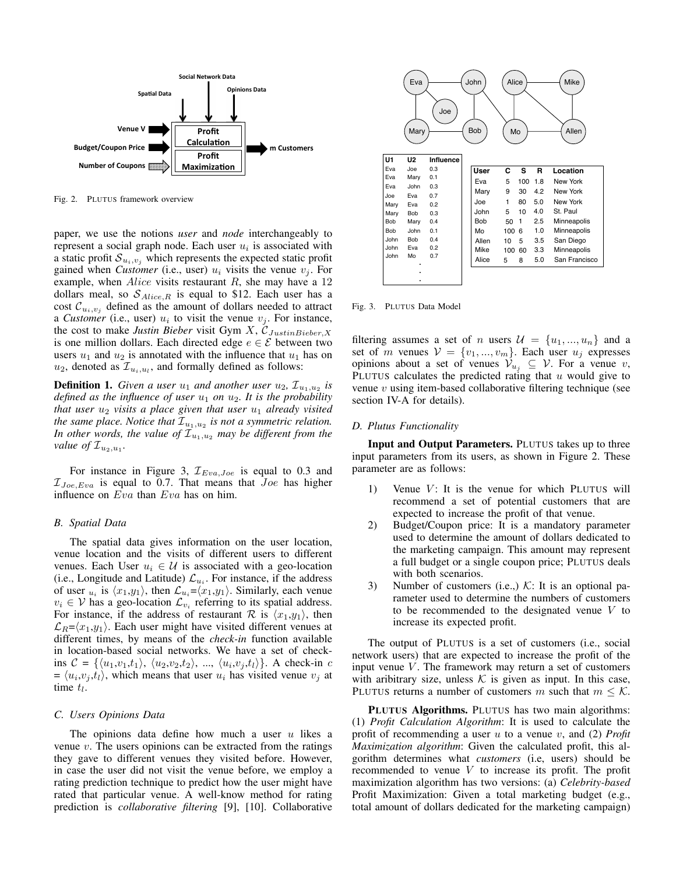

Fig. 2. PLUTUS framework overview

paper, we use the notions *user* and *node* interchangeably to represent a social graph node. Each user  $u_i$  is associated with a static profit  $S_{u_i,v_j}$  which represents the expected static profit gained when *Customer* (i.e., user)  $u_i$  visits the venue  $v_i$ . For example, when  $Alice$  visits restaurant R, she may have a 12 dollars meal, so  $S_{Alice,R}$  is equal to \$12. Each user has a cost  $\mathcal{C}_{u_i,v_j}$  defined as the amount of dollars needed to attract a *Customer* (i.e., user)  $u_i$  to visit the venue  $v_j$ . For instance, the cost to make *Justin Bieber* visit Gym  $X$ ,  $\mathcal{C}_{JustinBieber,X}$ is one million dollars. Each directed edge  $e \in \mathcal{E}$  between two users  $u_1$  and  $u_2$  is annotated with the influence that  $u_1$  has on  $u_2$ , denoted as  $\mathcal{I}_{u_i, u_l}$ , and formally defined as follows:

**Definition 1.** Given a user  $u_1$  and another user  $u_2$ ,  $\mathcal{I}_{u_1,u_2}$  is *defined as the influence of user*  $u_1$  *on*  $u_2$ *. It is the probability that user*  $u_2$  *visits a place given that user*  $u_1$  *already visited the same place. Notice that*  $\mathcal{I}_{u_1, u_2}$  *is not a symmetric relation. In other words, the value of*  $\mathcal{I}_{u_1,u_2}$  *may be different from the value of*  $\mathcal{I}_{u_2, u_1}$ .

For instance in Figure 3,  $\mathcal{I}_{Eva, Joe}$  is equal to 0.3 and  $\mathcal{I}_{Joe, Eva}$  is equal to 0.7. That means that  $Joe$  has higher influence on Eva than Eva has on him.

# *B. Spatial Data*

The spatial data gives information on the user location, venue location and the visits of different users to different venues. Each User  $u_i \in \mathcal{U}$  is associated with a geo-location (i.e., Longitude and Latitude)  $\mathcal{L}_{u_i}$ . For instance, if the address of user  $u_i$  is  $\langle x_1, y_1 \rangle$ , then  $\mathcal{L}_{u_i} = \langle x_1, y_1 \rangle$ . Similarly, each venue  $v_i \in V$  has a geo-location  $\mathcal{L}_{v_i}$  referring to its spatial address. For instance, if the address of restaurant R is  $\langle x_1,y_1\rangle$ , then  $\mathcal{L}_R=\langle x_1,y_1\rangle$ . Each user might have visited different venues at different times, by means of the *check-in* function available in location-based social networks. We have a set of checkins  $C = \{ \langle u_1, v_1, t_1 \rangle, \langle u_2, v_2, t_2 \rangle, \dots, \langle u_i, v_j, t_l \rangle \}.$  A check-in c  $= \langle u_i, v_j, t_l \rangle$ , which means that user  $u_i$  has visited venue  $v_j$  at time  $t_l$ .

#### *C. Users Opinions Data*

The opinions data define how much a user  $u$  likes a venue  $v$ . The users opinions can be extracted from the ratings they gave to different venues they visited before. However, in case the user did not visit the venue before, we employ a rating prediction technique to predict how the user might have rated that particular venue. A well-know method for rating prediction is *collaborative filtering* [9], [10]. Collaborative



Fig. 3. PLUTUS Data Model

filtering assumes a set of n users  $\mathcal{U} = \{u_1, ..., u_n\}$  and a set of m venues  $V = \{v_1, ..., v_m\}$ . Each user  $u_j$  expresses opinions about a set of venues  $\mathcal{V}_{u_i} \subseteq \mathcal{V}$ . For a venue v, PLUTUS calculates the predicted rating that  $u$  would give to venue  $v$  using item-based collaborative filtering technique (see section IV-A for details).

## *D. Plutus Functionality*

Input and Output Parameters. PLUTUS takes up to three input parameters from its users, as shown in Figure 2. These parameter are as follows:

- 1) Venue  $V$ : It is the venue for which PLUTUS will recommend a set of potential customers that are expected to increase the profit of that venue.
- 2) Budget/Coupon price: It is a mandatory parameter used to determine the amount of dollars dedicated to the marketing campaign. This amount may represent a full budget or a single coupon price; PLUTUS deals with both scenarios.
- 3) Number of customers (i.e.,)  $K$ : It is an optional parameter used to determine the numbers of customers to be recommended to the designated venue V to increase its expected profit.

The output of PLUTUS is a set of customers (i.e., social network users) that are expected to increase the profit of the input venue  $V$ . The framework may return a set of customers with aribitrary size, unless  $K$  is given as input. In this case, PLUTUS returns a number of customers m such that  $m \leq \mathcal{K}$ .

PLUTUS Algorithms. PLUTUS has two main algorithms: (1) *Profit Calculation Algorithm*: It is used to calculate the profit of recommending a user u to a venue v, and (2) *Profit Maximization algorithm*: Given the calculated profit, this algorithm determines what *customers* (i.e, users) should be recommended to venue  $V$  to increase its profit. The profit maximization algorithm has two versions: (a) *Celebrity-based* Profit Maximization: Given a total marketing budget (e.g., total amount of dollars dedicated for the marketing campaign)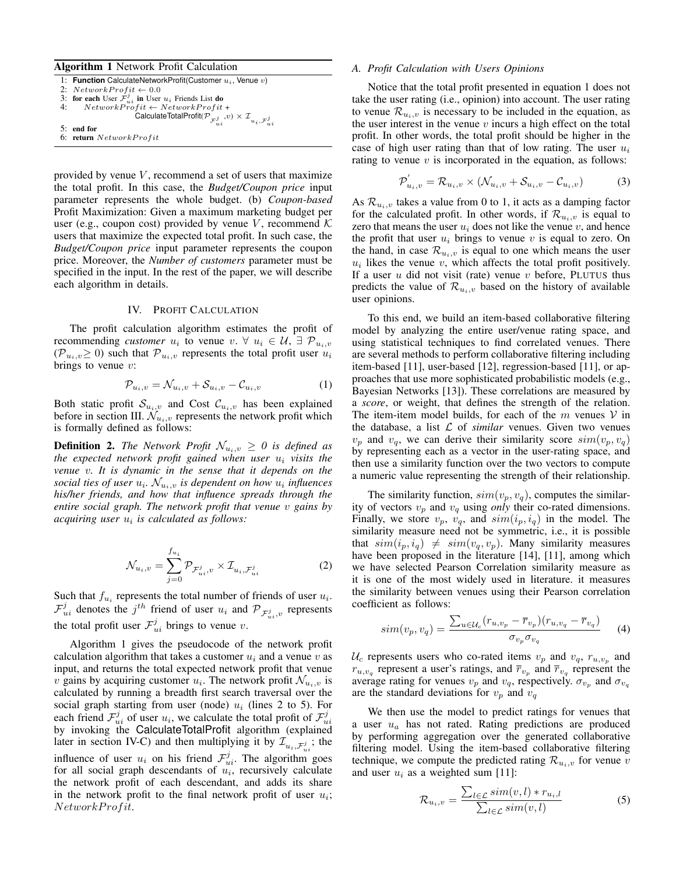# Algorithm 1 Network Profit Calculation

| 1: Function CalculateNetworkProfit(Customer $u_i$ , Venue $v$ )                                           |
|-----------------------------------------------------------------------------------------------------------|
| 2: $NetworkProfit \leftarrow 0.0$                                                                         |
| 3: for each User $\mathcal{F}_{ui}^j$ in User $u_i$ Friends List do                                       |
| 4: $NetworkProfit \leftarrow NetworkProfit +$                                                             |
| CalculateTotalProfit $(\mathcal{P}_{\mathcal{F}_{ui}^j}, v) \times \mathcal{I}_{u_i, \mathcal{F}_{ui}^j}$ |
|                                                                                                           |
| $5:$ end for                                                                                              |
| 6: return NetworkProfit                                                                                   |

provided by venue  $V$ , recommend a set of users that maximize the total profit. In this case, the *Budget/Coupon price* input parameter represents the whole budget. (b) *Coupon-based* Profit Maximization: Given a maximum marketing budget per user (e.g., coupon cost) provided by venue V, recommend  $K$ users that maximize the expected total profit. In such case, the *Budget/Coupon price* input parameter represents the coupon price. Moreover, the *Number of customers* parameter must be specified in the input. In the rest of the paper, we will describe each algorithm in details.

#### IV. PROFIT CALCULATION

The profit calculation algorithm estimates the profit of recommending *customer*  $u_i$  to venue  $v. \ \forall \ u_i \in \mathcal{U}, \ \exists \ \mathcal{P}_{u_i, v}$  $(\mathcal{P}_{u_i,v}\geq 0)$  such that  $\mathcal{P}_{u_i,v}$  represents the total profit user  $u_i$ brings to venue  $v$ :

$$
\mathcal{P}_{u_i,v} = \mathcal{N}_{u_i,v} + \mathcal{S}_{u_i,v} - \mathcal{C}_{u_i,v}
$$
\n<sup>(1)</sup>

Both static profit  $\mathcal{S}_{u_i,v}$  and Cost  $\mathcal{C}_{u_i,v}$  has been explained before in section III.  $\mathcal{N}_{u_i,v}$  represents the network profit which is formally defined as follows:

**Definition 2.** *The Network Profit*  $\mathcal{N}_{u_i,v} \geq 0$  *is defined as the expected network profit gained when user* u<sup>i</sup> *visits the venue* v*. It is dynamic in the sense that it depends on the* social ties of user  $u_i$ .  $\mathcal{N}_{u_i,v}$  is dependent on how  $u_i$  influences *his/her friends, and how that influence spreads through the entire social graph. The network profit that venue* v *gains by* acquiring user  $u_i$  is calculated as follows:

$$
\mathcal{N}_{u_i,v} = \sum_{j=0}^{f_{u_i}} \mathcal{P}_{\mathcal{F}_{ui}^j,v} \times \mathcal{I}_{u_i,\mathcal{F}_{ui}^j}
$$
(2)

Such that  $f_{u_i}$  represents the total number of friends of user  $u_i$ .  $\mathcal{F}_{ui}^j$  denotes the  $j^{th}$  friend of user  $u_i$  and  $\mathcal{P}_{\mathcal{F}_{ui}^j,v}$  represents the total profit user  $\mathcal{F}_{ui}^j$  brings to venue v.

Algorithm 1 gives the pseudocode of the network profit calculation algorithm that takes a customer  $u_i$  and a venue v as input, and returns the total expected network profit that venue v gains by acquiring customer  $u_i$ . The network profit  $\mathcal{N}_{u_i,v}$  is calculated by running a breadth first search traversal over the social graph starting from user (node)  $u_i$  (lines 2 to 5). For each friend  $\mathcal{F}_{ui}^j$  of user  $u_i$ , we calculate the total profit of  $\mathcal{F}_{ui}^j$ by invoking the CalculateTotalProfit algorithm (explained later in section IV-C) and then multiplying it by  $\mathcal{I}_{u_i, \mathcal{F}_{ui}^j}$ ; the influence of user  $u_i$  on his friend  $\mathcal{F}_{ui}^j$ . The algorithm goes for all social graph descendants of  $u_i$ , recursively calculate the network profit of each descendant, and adds its share in the network profit to the final network profit of user  $u_i$ ; NetworkProfit.

#### *A. Profit Calculation with Users Opinions*

Notice that the total profit presented in equation 1 does not take the user rating (i.e., opinion) into account. The user rating to venue  $\mathcal{R}_{u_i,v}$  is necessary to be included in the equation, as the user interest in the venue  $v$  incurs a high effect on the total profit. In other words, the total profit should be higher in the case of high user rating than that of low rating. The user  $u_i$ rating to venue  $v$  is incorporated in the equation, as follows:

$$
\mathcal{P}_{u_i,v}^{'} = \mathcal{R}_{u_i,v} \times (\mathcal{N}_{u_i,v} + \mathcal{S}_{u_i,v} - \mathcal{C}_{u_i,v})
$$
(3)

As  $\mathcal{R}_{u_i,v}$  takes a value from 0 to 1, it acts as a damping factor for the calculated profit. In other words, if  $\mathcal{R}_{u_i,v}$  is equal to zero that means the user  $u_i$  does not like the venue v, and hence the profit that user  $u_i$  brings to venue v is equal to zero. On the hand, in case  $\mathcal{R}_{u_i,v}$  is equal to one which means the user  $u_i$  likes the venue  $v$ , which affects the total profit positively. If a user  $u$  did not visit (rate) venue  $v$  before, PLUTUS thus predicts the value of  $\mathcal{R}_{u_i,v}$  based on the history of available user opinions.

To this end, we build an item-based collaborative filtering model by analyzing the entire user/venue rating space, and using statistical techniques to find correlated venues. There are several methods to perform collaborative filtering including item-based [11], user-based [12], regression-based [11], or approaches that use more sophisticated probabilistic models (e.g., Bayesian Networks [13]). These correlations are measured by a *score*, or weight, that defines the strength of the relation. The item-item model builds, for each of the  $m$  venues  $V$  in the database, a list  $\mathcal L$  of *similar* venues. Given two venues  $v_p$  and  $v_q$ , we can derive their similarity score  $sim(v_p, v_q)$ by representing each as a vector in the user-rating space, and then use a similarity function over the two vectors to compute a numeric value representing the strength of their relationship.

The similarity function,  $sim(v_p, v_q)$ , computes the similarity of vectors  $v_p$  and  $v_q$  using *only* their co-rated dimensions. Finally, we store  $v_p$ ,  $v_q$ , and  $sim(i_p, i_q)$  in the model. The similarity measure need not be symmetric, i.e., it is possible that  $sim(i_p, i_q) \neq sim(v_q, v_p)$ . Many similarity measures have been proposed in the literature [14], [11], among which we have selected Pearson Correlation similarity measure as it is one of the most widely used in literature. it measures the similarity between venues using their Pearson correlation coefficient as follows:

$$
sim(v_p, v_q) = \frac{\sum_{u \in \mathcal{U}_c} (r_{u, v_p} - \overline{r}_{v_p})(r_{u, v_q} - \overline{r}_{v_q})}{\sigma_{v_p} \sigma_{v_q}}
$$
(4)

 $\mathcal{U}_c$  represents users who co-rated items  $v_p$  and  $v_q$ ,  $r_{u,v_p}$  and  $r_{u,v_q}$  represent a user's ratings, and  $\overline{r}_{v_p}$  and  $\overline{r}_{v_q}$  represent the average rating for venues  $v_p$  and  $v_q$ , respectively.  $\sigma_{v_p}$  and  $\sigma_{v_q}$ are the standard deviations for  $v_p$  and  $v_q$ 

We then use the model to predict ratings for venues that a user  $u_a$  has not rated. Rating predictions are produced by performing aggregation over the generated collaborative filtering model. Using the item-based collaborative filtering technique, we compute the predicted rating  $\mathcal{R}_{u_i,v}$  for venue v and user  $u_i$  as a weighted sum [11]:

$$
\mathcal{R}_{u_i,v} = \frac{\sum_{l \in \mathcal{L}} sim(v,l) * r_{u_i,l}}{\sum_{l \in \mathcal{L}} sim(v,l)}
$$
(5)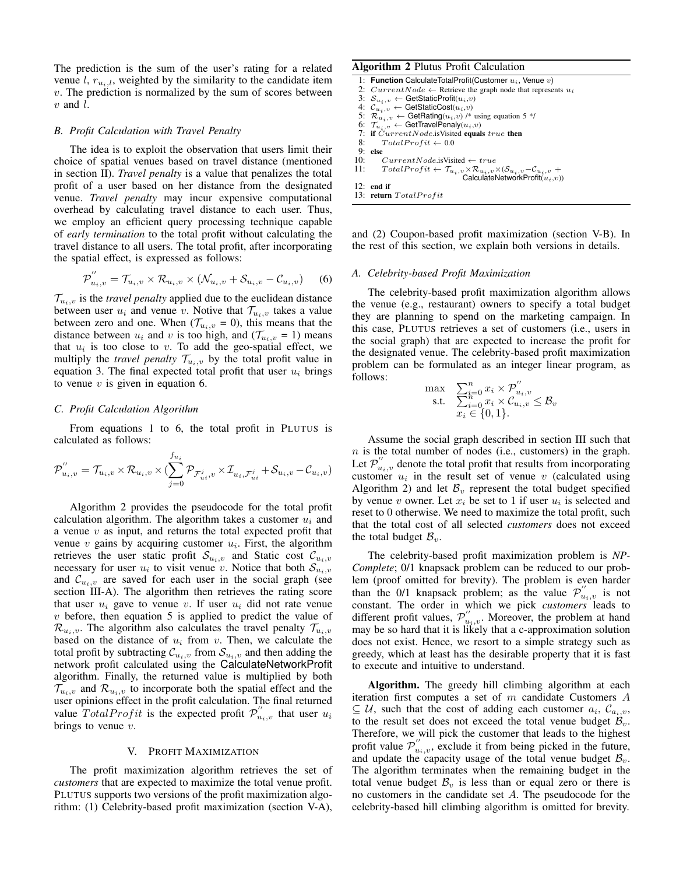The prediction is the sum of the user's rating for a related venue l,  $r_{u_i,l}$ , weighted by the similarity to the candidate item  $v$ . The prediction is normalized by the sum of scores between  $v$  and  $l$ .

## *B. Profit Calculation with Travel Penalty*

The idea is to exploit the observation that users limit their choice of spatial venues based on travel distance (mentioned in section II). *Travel penalty* is a value that penalizes the total profit of a user based on her distance from the designated venue. *Travel penalty* may incur expensive computational overhead by calculating travel distance to each user. Thus, we employ an efficient query processing technique capable of *early termination* to the total profit without calculating the travel distance to all users. The total profit, after incorporating the spatial effect, is expressed as follows:

$$
\mathcal{P}^{''}_{u_i,v} = \mathcal{T}_{u_i,v} \times \mathcal{R}_{u_i,v} \times (\mathcal{N}_{u_i,v} + \mathcal{S}_{u_i,v} - \mathcal{C}_{u_i,v})
$$
 (6)

 $\mathcal{T}_{u_i,v}$  is the *travel penalty* applied due to the euclidean distance between user  $u_i$  and venue v. Notive that  $\mathcal{T}_{u_i,v}$  takes a value between zero and one. When  $(\mathcal{T}_{u_i,v} = 0)$ , this means that the distance between  $u_i$  and v is too high, and  $(\mathcal{T}_{u_i,v} = 1)$  means that  $u_i$  is too close to v. To add the geo-spatial effect, we multiply the *travel penalty*  $\mathcal{T}_{u_i,v}$  by the total profit value in equation 3. The final expected total profit that user  $u_i$  brings to venue  $v$  is given in equation 6.

# *C. Profit Calculation Algorithm*

From equations 1 to 6, the total profit in PLUTUS is calculated as follows:

$$
\mathcal{P}^{''}_{u_i,v} = \mathcal{T}_{u_i,v}\times \mathcal{R}_{u_i,v}\times (\sum_{j=0}^{f_{u_i}}\mathcal{P}_{\mathcal{F}^{j}_{ui},v}\times \mathcal{I}_{u_i,\mathcal{F}^{j}_{ui}} + \mathcal{S}_{u_i,v} - \mathcal{C}_{u_i,v})
$$

Algorithm 2 provides the pseudocode for the total profit calculation algorithm. The algorithm takes a customer  $u_i$  and a venue  $v$  as input, and returns the total expected profit that venue  $v$  gains by acquiring customer  $u_i$ . First, the algorithm retrieves the user static profit  $S_{u_i,v}$  and Static cost  $\mathcal{C}_{u_i,v}$ necessary for user  $u_i$  to visit venue v. Notice that both  $S_{u_i,v}$ and  $\mathcal{C}_{u_i,v}$  are saved for each user in the social graph (see section III-A). The algorithm then retrieves the rating score that user  $u_i$  gave to venue v. If user  $u_i$  did not rate venue  $v$  before, then equation 5 is applied to predict the value of  $\mathcal{R}_{u_i,v}$ . The algorithm also calculates the travel penalty  $\mathcal{T}_{u_i,v}$ based on the distance of  $u_i$  from v. Then, we calculate the total profit by subtracting  $\mathcal{C}_{u_i,v}$  from  $\mathcal{S}_{u_i,v}$  and then adding the network profit calculated using the CalculateNetworkProfit algorithm. Finally, the returned value is multiplied by both  $\mathcal{T}_{u_i,v}$  and  $\mathcal{R}_{u_i,v}$  to incorporate both the spatial effect and the user opinions effect in the profit calculation. The final returned value  $TotalProfit$  is the expected profit  $\mathcal{P}_{u_i,v}^{''}$  that user  $u_i$ brings to venue  $v$ .

#### V. PROFIT MAXIMIZATION

The profit maximization algorithm retrieves the set of *customers* that are expected to maximize the total venue profit. PLUTUS supports two versions of the profit maximization algorithm: (1) Celebrity-based profit maximization (section V-A),

# Algorithm 2 Plutus Profit Calculation

|     | 1: Function CalculateTotalProfit(Customer $u_i$ , Venue $v$ )                                                                   |
|-----|---------------------------------------------------------------------------------------------------------------------------------|
|     | 2: $CurrentNode \leftarrow$ Retrieve the graph node that represents $u_i$                                                       |
|     | 3: $S_{u_i,v} \leftarrow$ GetStaticProfit $(u_i,v)$                                                                             |
|     | 4: $\mathcal{C}_{u_i,v} \leftarrow$ GetStaticCost $(u_i,v)$                                                                     |
|     | 5: $\mathcal{R}_{u_i, v} \leftarrow$ GetRating $(u_i, v)$ /* using equation 5 */                                                |
|     | 6: $\mathcal{T}_{u_i,v} \leftarrow$ GetTravelPenaly $(u_i,v)$                                                                   |
|     | 7: if $CurrentNode$ . is Visited equals true then                                                                               |
|     | 8: $TotalProfit \leftarrow 0.0$                                                                                                 |
|     | $9:$ else                                                                                                                       |
| 10: | $CurrentNode$ is Visited $\leftarrow true$                                                                                      |
| 11: | $TotalProfit \leftarrow \mathcal{T}_{u_i, v} \times \mathcal{R}_{u_i, v} \times (\mathcal{S}_{u_i, v} - \mathcal{C}_{u_i, v} +$ |
|     | CalculateNetworkProfit $(u_i, v)$                                                                                               |
|     | $12:$ end if                                                                                                                    |
|     | 13: return TotalProfit                                                                                                          |

and (2) Coupon-based profit maximization (section V-B). In the rest of this section, we explain both versions in details.

#### *A. Celebrity-based Profit Maximization*

The celebrity-based profit maximization algorithm allows the venue (e.g., restaurant) owners to specify a total budget they are planning to spend on the marketing campaign. In this case, PLUTUS retrieves a set of customers (i.e., users in the social graph) that are expected to increase the profit for the designated venue. The celebrity-based profit maximization problem can be formulated as an integer linear program, as follows:

$$
\max_{\substack{\mathbf{s}.\mathbf{t}.}} \quad \sum_{i=0}^{n} x_i \times \mathcal{P}_{u_i,v}''
$$
  
s.t. 
$$
\sum_{i=0}^{n} x_i \times \mathcal{C}_{u_i,v} \leq \mathcal{B}_v
$$

$$
x_i \in \{0,1\}.
$$

Assume the social graph described in section III such that  $n$  is the total number of nodes (i.e., customers) in the graph. Let  $\mathcal{P}^{''}_{u_i,v}$  denote the total profit that results from incorporating customer  $u_i$  in the result set of venue v (calculated using Algorithm 2) and let  $\mathcal{B}_v$  represent the total budget specified by venue v owner. Let  $x_i$  be set to 1 if user  $u_i$  is selected and reset to 0 otherwise. We need to maximize the total profit, such that the total cost of all selected *customers* does not exceed the total budget  $B_v$ .

The celebrity-based profit maximization problem is *NP-Complete*; 0/1 knapsack problem can be reduced to our problem (proof omitted for brevity). The problem is even harder than the 0/1 knapsack problem; as the value  $\mathcal{P}_{u_i,v}^{''}$  is not constant. The order in which we pick *customers* leads to different profit values,  $\mathcal{P}^{''}_{u_i,v}$ . Moreover, the problem at hand may be so hard that it is likely that a c-approximation solution does not exist. Hence, we resort to a simple strategy such as greedy, which at least has the desirable property that it is fast to execute and intuitive to understand.

Algorithm. The greedy hill climbing algorithm at each iteration first computes a set of m candidate Customers A  $\subseteq$  U, such that the cost of adding each customer  $a_i$ ,  $\mathcal{C}_{a_i,v}$ , to the result set does not exceed the total venue budget  $\mathcal{B}_v$ . Therefore, we will pick the customer that leads to the highest profit value  $\mathcal{P}_{u_i,v}^{''}$ , exclude it from being picked in the future, and update the capacity usage of the total venue budget  $\mathcal{B}_v$ . The algorithm terminates when the remaining budget in the total venue budget  $\mathcal{B}_v$  is less than or equal zero or there is no customers in the candidate set A. The pseudocode for the celebrity-based hill climbing algorithm is omitted for brevity.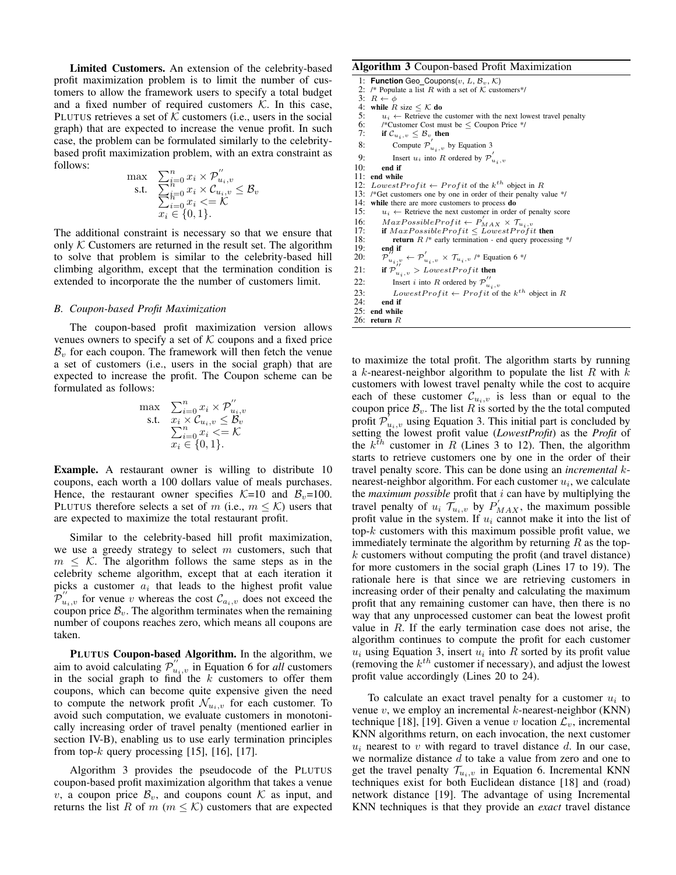Limited Customers. An extension of the celebrity-based profit maximization problem is to limit the number of customers to allow the framework users to specify a total budget and a fixed number of required customers  $K$ . In this case, PLUTUS retrieves a set of  $K$  customers (i.e., users in the social graph) that are expected to increase the venue profit. In such case, the problem can be formulated similarly to the celebritybased profit maximization problem, with an extra constraint as follows:

$$
\begin{array}{ll}\n\max & \sum_{i=0}^{n} x_i \times \mathcal{P}_{u_i, v}^{\prime\prime} \\
\text{s.t.} & \sum_{i=0}^{n} x_i \times \mathcal{C}_{u_i, v} \leq \mathcal{B}_v \\
&\sum_{i=0}^{n} x_i \leq \mathcal{K} \\
&x_i \in \{0, 1\}.\n\end{array}
$$

The additional constraint is necessary so that we ensure that only  $K$  Customers are returned in the result set. The algorithm to solve that problem is similar to the celebrity-based hill climbing algorithm, except that the termination condition is extended to incorporate the the number of customers limit.

## *B. Coupon-based Profit Maximization*

The coupon-based profit maximization version allows venues owners to specify a set of  $K$  coupons and a fixed price  $B<sub>v</sub>$  for each coupon. The framework will then fetch the venue a set of customers (i.e., users in the social graph) that are expected to increase the profit. The Coupon scheme can be formulated as follows:

$$
\begin{array}{ll}\n\max & \sum_{i=0}^{n} x_i \times \mathcal{P}_{u_i, v}^{\prime\prime} \\
\text{s.t.} & x_i \times \mathcal{C}_{u_i, v} \leq \mathcal{B}_v \\
& \sum_{i=0}^{n} x_i \leq \mathcal{K} \\
& x_i \in \{0, 1\}.\n\end{array}
$$

**Example.** A restaurant owner is willing to distribute 10 coupons, each worth a 100 dollars value of meals purchases. Hence, the restaurant owner specifies  $K=10$  and  $B_v=100$ . PLUTUS therefore selects a set of m (i.e.,  $m \leq \mathcal{K}$ ) users that are expected to maximize the total restaurant profit.

Similar to the celebrity-based hill profit maximization, we use a greedy strategy to select  $m$  customers, such that  $m \leq K$ . The algorithm follows the same steps as in the celebrity scheme algorithm, except that at each iteration it picks a customer  $a_i$  that leads to the highest profit value  $\mathcal{P}_{u_i,v}^{''}$  for venue v whereas the cost  $\mathcal{C}_{a_i,v}$  does not exceed the coupon price  $B_v$ . The algorithm terminates when the remaining number of coupons reaches zero, which means all coupons are taken.

PLUTUS Coupon-based Algorithm. In the algorithm, we aim to avoid calculating  $\mathcal{P}^{''}_{u_i,v}$  in Equation 6 for *all* customers in the social graph to find the  $k$  customers to offer them coupons, which can become quite expensive given the need to compute the network profit  $\mathcal{N}_{u_i,v}$  for each customer. To avoid such computation, we evaluate customers in monotonically increasing order of travel penalty (mentioned earlier in section IV-B), enabling us to use early termination principles from top- $k$  query processing [15], [16], [17].

Algorithm 3 provides the pseudocode of the PLUTUS coupon-based profit maximization algorithm that takes a venue v, a coupon price  $\mathcal{B}_v$ , and coupons count K as input, and returns the list R of m ( $m \leq \mathcal{K}$ ) customers that are expected

#### Algorithm 3 Coupon-based Profit Maximization

- 1: **Function** Geo\_Coupons(v, L,  $B_v$ , K)<br>2: /\* Populate a list R with a set of K cust
- 2: /\* Populate a list R with a set of K customers\*/<br>3:  $R \leftarrow \phi$

3:  $R \leftarrow \phi$ <br>4: while  $R$ 

- 4: while  $R$  size  $\leq$  K do 5:  $u_i \leftarrow$  Retrieve the 5:  $u_i \leftarrow$  Retrieve the customer with the next lowest travel penalty 6: /\*Customer Cost must be < Coupon Price \*/
- 6: /\*Customer Cost must be  $\leq$  Coupon Price \*/<br>7: **if**  $C_{u_i, v} \leq B_v$  **then**
- 7: if  $\mathcal{C}_{u_i, v} \leq \mathcal{B}_{v_i}$  then
- 8: Compute  $\mathcal{P}'_{u_i,v}$  by Equation 3
- 9: Insert  $u_i$  into R ordered by  $\mathcal{P}_{u_i,v}'$
- 10: end if

11: end while

- 12: LowestProfit  $\leftarrow$  Profit of the  $k^{th}$  object in R
- 13: /\*Get customers one by one in order of their penalty value \*/
- 14: while there are more customers to process **do** 15:  $u_i \leftarrow$  Retrieve the next customer in order
	- $u_i \leftarrow$  Retrieve the next customer in order of penalty score
- 16:  $MaxPosibleProfit \leftarrow P'_{MAX} \times T_{u_i, v}$ <br>17: **if**  $MaxPosibleProfit \le LowerProfit$
- 
- 18: **return**  $R$  /\* early termination end query processing \*/<br>19: **end if**  $end$  if
- $20:$  $\mathcal{D}_{u_i,v}^{\prime\prime} \leftarrow \mathcal{D}_{u_i,v}^{\prime} \times \mathcal{T}_{u_i,v}$  /\* Equation 6 \*/
- 
- 21: if  $\mathcal{P}_{u_i, v}^{''} > Lowest Profit$  then
- 22: Insert *i* into *R* ordered by  $\mathcal{P}''_{u_i,v}$
- 23: Lowest  $Profit \leftarrow Profit$  of the  $k^{th}$  object in R
- 24: end if
- 25: end while 26: return R

to maximize the total profit. The algorithm starts by running a k-nearest-neighbor algorithm to populate the list  $R$  with  $k$ customers with lowest travel penalty while the cost to acquire each of these customer  $\mathcal{C}_{u_i,v}$  is less than or equal to the coupon price  $\mathcal{B}_v$ . The list R is sorted by the the total computed profit  $\mathcal{P}_{u_i,v}^{\prime}$  using Equation 3. This initial part is concluded by setting the lowest profit value (*LowestProfit*) as the *Profit* of the  $k^{\bar{t}h}$  customer in R (Lines 3 to 12). Then, the algorithm starts to retrieve customers one by one in the order of their travel penalty score. This can be done using an *incremental* knearest-neighbor algorithm. For each customer  $u_i$ , we calculate the *maximum possible* profit that i can have by multiplying the travel penalty of  $u_i$   $\mathcal{T}_{u_i,v}$  by  $P'_{MAX}$ , the maximum possible profit value in the system. If  $u_i$  cannot make it into the list of top- $k$  customers with this maximum possible profit value, we immediately terminate the algorithm by returning  $R$  as the top $k$  customers without computing the profit (and travel distance) for more customers in the social graph (Lines 17 to 19). The rationale here is that since we are retrieving customers in increasing order of their penalty and calculating the maximum profit that any remaining customer can have, then there is no way that any unprocessed customer can beat the lowest profit value in  $R$ . If the early termination case does not arise, the algorithm continues to compute the profit for each customer  $u_i$  using Equation 3, insert  $u_i$  into R sorted by its profit value (removing the  $k^{th}$  customer if necessary), and adjust the lowest profit value accordingly (Lines 20 to 24).

To calculate an exact travel penalty for a customer  $u_i$  to venue  $v$ , we employ an incremental  $k$ -nearest-neighbor (KNN) technique [18], [19]. Given a venue v location  $\mathcal{L}_v$ , incremental KNN algorithms return, on each invocation, the next customer  $u_i$  nearest to v with regard to travel distance d. In our case, we normalize distance d to take a value from zero and one to get the travel penalty  $\mathcal{T}_{u_i,v}$  in Equation 6. Incremental KNN techniques exist for both Euclidean distance [18] and (road) network distance [19]. The advantage of using Incremental KNN techniques is that they provide an *exact* travel distance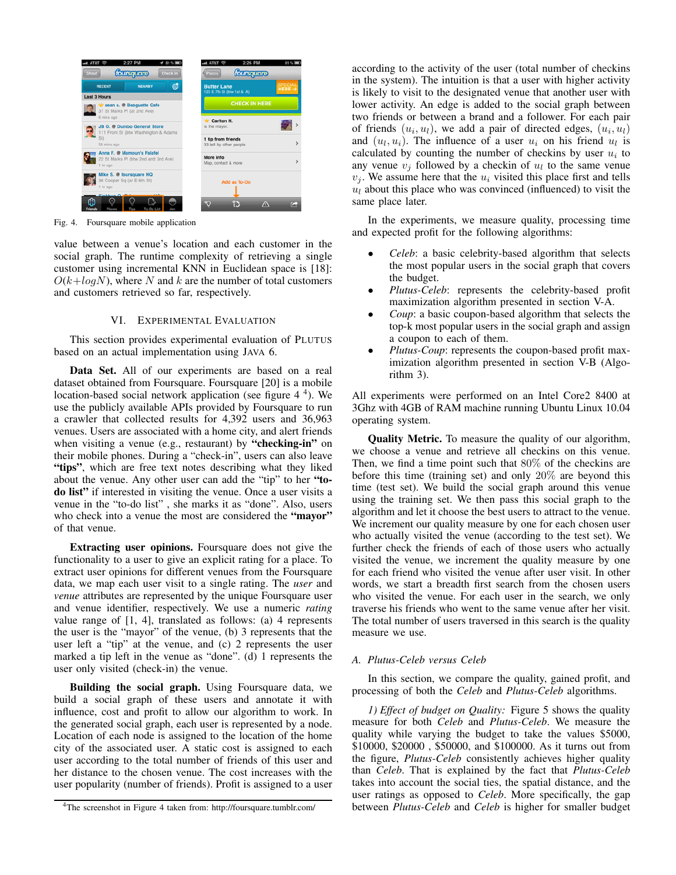

Fig. 4. Foursquare mobile application

value between a venue's location and each customer in the social graph. The runtime complexity of retrieving a single customer using incremental KNN in Euclidean space is [18]:  $O(k + log N)$ , where N and k are the number of total customers and customers retrieved so far, respectively.

# VI. EXPERIMENTAL EVALUATION

This section provides experimental evaluation of PLUTUS based on an actual implementation using JAVA 6.

Data Set. All of our experiments are based on a real dataset obtained from Foursquare. Foursquare [20] is a mobile location-based social network application (see figure 4<sup>4</sup>). We use the publicly available APIs provided by Foursquare to run a crawler that collected results for 4,392 users and 36,963 venues. Users are associated with a home city, and alert friends when visiting a venue (e.g., restaurant) by "checking-in" on their mobile phones. During a "check-in", users can also leave "tips", which are free text notes describing what they liked about the venue. Any other user can add the "tip" to her "todo list" if interested in visiting the venue. Once a user visits a venue in the "to-do list" , she marks it as "done". Also, users who check into a venue the most are considered the "mayor" of that venue.

Extracting user opinions. Foursquare does not give the functionality to a user to give an explicit rating for a place. To extract user opinions for different venues from the Foursquare data, we map each user visit to a single rating. The *user* and *venue* attributes are represented by the unique Foursquare user and venue identifier, respectively. We use a numeric *rating* value range of [1, 4], translated as follows: (a) 4 represents the user is the "mayor" of the venue, (b) 3 represents that the user left a "tip" at the venue, and (c) 2 represents the user marked a tip left in the venue as "done". (d) 1 represents the user only visited (check-in) the venue.

Building the social graph. Using Foursquare data, we build a social graph of these users and annotate it with influence, cost and profit to allow our algorithm to work. In the generated social graph, each user is represented by a node. Location of each node is assigned to the location of the home city of the associated user. A static cost is assigned to each user according to the total number of friends of this user and her distance to the chosen venue. The cost increases with the user popularity (number of friends). Profit is assigned to a user according to the activity of the user (total number of checkins in the system). The intuition is that a user with higher activity is likely to visit to the designated venue that another user with lower activity. An edge is added to the social graph between two friends or between a brand and a follower. For each pair of friends  $(u_i, u_l)$ , we add a pair of directed edges,  $(u_i, u_l)$ and  $(u_l, u_i)$ . The influence of a user  $u_i$  on his friend  $u_l$  is calculated by counting the number of checkins by user  $u_i$  to any venue  $v_j$  followed by a checkin of  $u_l$  to the same venue  $v_i$ . We assume here that the  $u_i$  visited this place first and tells  $u_l$  about this place who was convinced (influenced) to visit the same place later.

In the experiments, we measure quality, processing time and expected profit for the following algorithms:

- *Celeb*: a basic celebrity-based algorithm that selects the most popular users in the social graph that covers the budget.
- *Plutus-Celeb*: represents the celebrity-based profit maximization algorithm presented in section V-A.
- *Coup*: a basic coupon-based algorithm that selects the top-k most popular users in the social graph and assign a coupon to each of them.
- *Plutus-Coup*: represents the coupon-based profit maximization algorithm presented in section V-B (Algorithm 3).

All experiments were performed on an Intel Core2 8400 at 3Ghz with 4GB of RAM machine running Ubuntu Linux 10.04 operating system.

Quality Metric. To measure the quality of our algorithm, we choose a venue and retrieve all checkins on this venue. Then, we find a time point such that 80% of the checkins are before this time (training set) and only 20% are beyond this time (test set). We build the social graph around this venue using the training set. We then pass this social graph to the algorithm and let it choose the best users to attract to the venue. We increment our quality measure by one for each chosen user who actually visited the venue (according to the test set). We further check the friends of each of those users who actually visited the venue, we increment the quality measure by one for each friend who visited the venue after user visit. In other words, we start a breadth first search from the chosen users who visited the venue. For each user in the search, we only traverse his friends who went to the same venue after her visit. The total number of users traversed in this search is the quality measure we use.

# *A. Plutus-Celeb versus Celeb*

In this section, we compare the quality, gained profit, and processing of both the *Celeb* and *Plutus-Celeb* algorithms.

*1) Effect of budget on Quality:* Figure 5 shows the quality measure for both *Celeb* and *Plutus-Celeb*. We measure the quality while varying the budget to take the values \$5000, \$10000, \$20000 , \$50000, and \$100000. As it turns out from the figure, *Plutus-Celeb* consistently achieves higher quality than *Celeb*. That is explained by the fact that *Plutus-Celeb* takes into account the social ties, the spatial distance, and the user ratings as opposed to *Celeb*. More specifically, the gap between *Plutus-Celeb* and *Celeb* is higher for smaller budget

<sup>4</sup>The screenshot in Figure 4 taken from: http://foursquare.tumblr.com/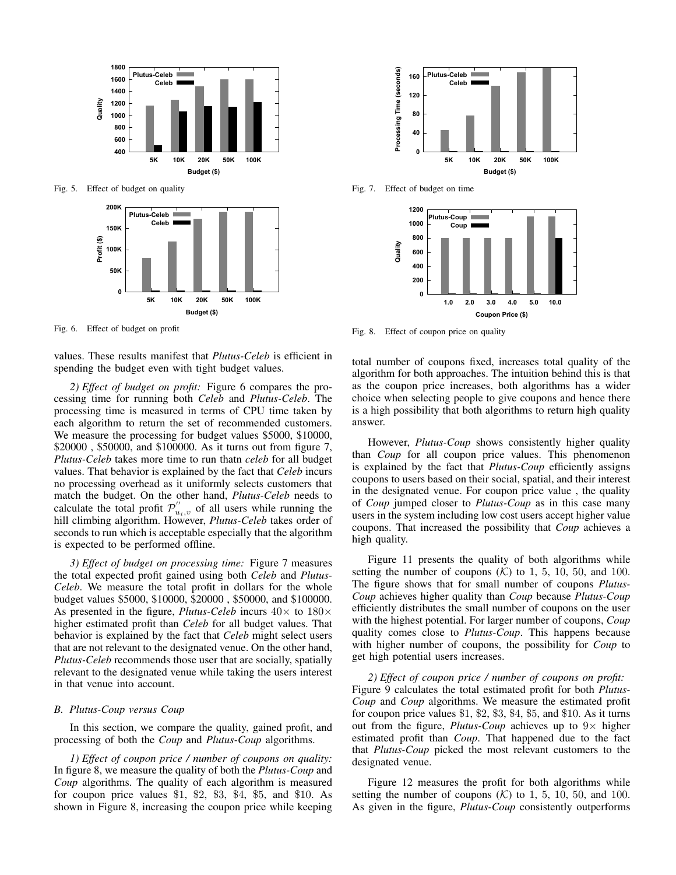

Fig. 5. Effect of budget on quality



Fig. 6. Effect of budget on profit

values. These results manifest that *Plutus-Celeb* is efficient in spending the budget even with tight budget values.

*2) Effect of budget on profit:* Figure 6 compares the processing time for running both *Celeb* and *Plutus-Celeb*. The processing time is measured in terms of CPU time taken by each algorithm to return the set of recommended customers. We measure the processing for budget values \$5000, \$10000, \$20000 , \$50000, and \$100000. As it turns out from figure 7, *Plutus-Celeb* takes more time to run thatn *celeb* for all budget values. That behavior is explained by the fact that *Celeb* incurs no processing overhead as it uniformly selects customers that match the budget. On the other hand, *Plutus-Celeb* needs to calculate the total profit  $\mathcal{P}^{''}_{u_i,v}$  of all users while running the hill climbing algorithm. However, *Plutus-Celeb* takes order of seconds to run which is acceptable especially that the algorithm is expected to be performed offline.

*3) Effect of budget on processing time:* Figure 7 measures the total expected profit gained using both *Celeb* and *Plutus-Celeb*. We measure the total profit in dollars for the whole budget values \$5000, \$10000, \$20000 , \$50000, and \$100000. As presented in the figure, *Plutus-Celeb* incurs  $40 \times$  to  $180 \times$ higher estimated profit than *Celeb* for all budget values. That behavior is explained by the fact that *Celeb* might select users that are not relevant to the designated venue. On the other hand, *Plutus-Celeb* recommends those user that are socially, spatially relevant to the designated venue while taking the users interest in that venue into account.

# *B. Plutus-Coup versus Coup*

In this section, we compare the quality, gained profit, and processing of both the *Coup* and *Plutus-Coup* algorithms.

*1) Effect of coupon price / number of coupons on quality:* In figure 8, we measure the quality of both the *Plutus-Coup* and *Coup* algorithms. The quality of each algorithm is measured for coupon price values  $$1, $2, $3, $4, $5, and $10. As$ shown in Figure 8, increasing the coupon price while keeping



Fig. 7. Effect of budget on time



Fig. 8. Effect of coupon price on quality

total number of coupons fixed, increases total quality of the algorithm for both approaches. The intuition behind this is that as the coupon price increases, both algorithms has a wider choice when selecting people to give coupons and hence there is a high possibility that both algorithms to return high quality answer.

However, *Plutus-Coup* shows consistently higher quality than *Coup* for all coupon price values. This phenomenon is explained by the fact that *Plutus-Coup* efficiently assigns coupons to users based on their social, spatial, and their interest in the designated venue. For coupon price value , the quality of *Coup* jumped closer to *Plutus-Coup* as in this case many users in the system including low cost users accept higher value coupons. That increased the possibility that *Coup* achieves a high quality.

Figure 11 presents the quality of both algorithms while setting the number of coupons  $(K)$  to 1, 5, 10, 50, and 100. The figure shows that for small number of coupons *Plutus-Coup* achieves higher quality than *Coup* because *Plutus-Coup* efficiently distributes the small number of coupons on the user with the highest potential. For larger number of coupons, *Coup* quality comes close to *Plutus-Coup*. This happens because with higher number of coupons, the possibility for *Coup* to get high potential users increases.

*2) Effect of coupon price / number of coupons on profit:* Figure 9 calculates the total estimated profit for both *Plutus-Coup* and *Coup* algorithms. We measure the estimated profit for coupon price values \$1, \$2, \$3, \$4, \$5, and \$10. As it turns out from the figure, *Plutus-Coup* achieves up to  $9 \times$  higher estimated profit than *Coup*. That happened due to the fact that *Plutus-Coup* picked the most relevant customers to the designated venue.

Figure 12 measures the profit for both algorithms while setting the number of coupons  $(K)$  to 1, 5, 10, 50, and 100. As given in the figure, *Plutus-Coup* consistently outperforms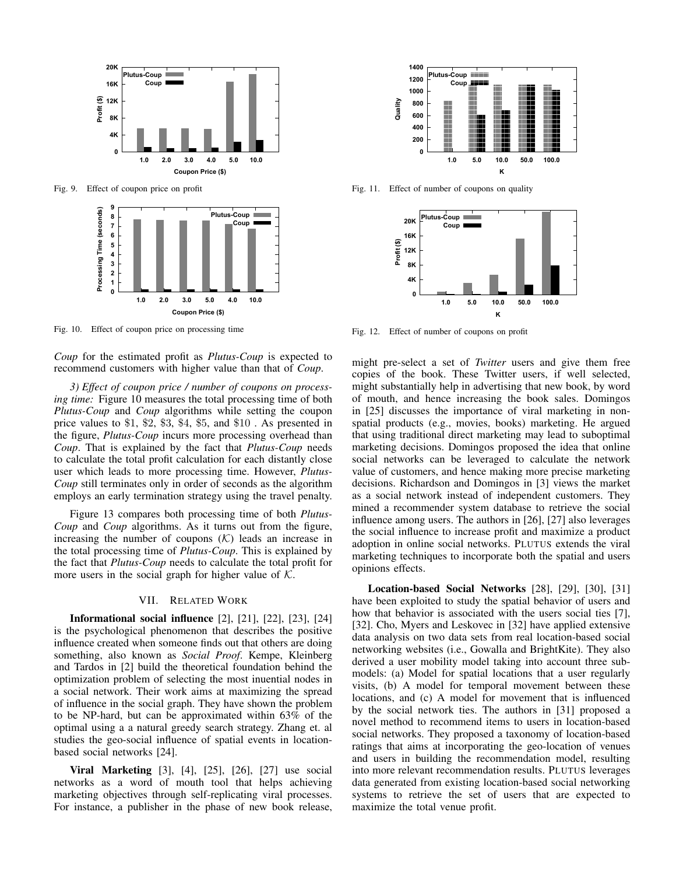

Fig. 9. Effect of coupon price on profit



Fig. 10. Effect of coupon price on processing time

*Coup* for the estimated profit as *Plutus-Coup* is expected to recommend customers with higher value than that of *Coup*.

*3) Effect of coupon price / number of coupons on processing time:* Figure 10 measures the total processing time of both *Plutus-Coup* and *Coup* algorithms while setting the coupon price values to \$1, \$2, \$3, \$4, \$5, and \$10 . As presented in the figure, *Plutus-Coup* incurs more processing overhead than *Coup*. That is explained by the fact that *Plutus-Coup* needs to calculate the total profit calculation for each distantly close user which leads to more processing time. However, *Plutus-Coup* still terminates only in order of seconds as the algorithm employs an early termination strategy using the travel penalty.

Figure 13 compares both processing time of both *Plutus-Coup* and *Coup* algorithms. As it turns out from the figure, increasing the number of coupons  $(K)$  leads an increase in the total processing time of *Plutus-Coup*. This is explained by the fact that *Plutus-Coup* needs to calculate the total profit for more users in the social graph for higher value of  $K$ .

## VII. RELATED WORK

Informational social influence [2], [21], [22], [23], [24] is the psychological phenomenon that describes the positive influence created when someone finds out that others are doing something, also known as *Social Proof*. Kempe, Kleinberg and Tardos in [2] build the theoretical foundation behind the optimization problem of selecting the most inuential nodes in a social network. Their work aims at maximizing the spread of influence in the social graph. They have shown the problem to be NP-hard, but can be approximated within 63% of the optimal using a a natural greedy search strategy. Zhang et. al studies the geo-social influence of spatial events in locationbased social networks [24].

Viral Marketing [3], [4], [25], [26], [27] use social networks as a word of mouth tool that helps achieving marketing objectives through self-replicating viral processes. For instance, a publisher in the phase of new book release,



Fig. 11. Effect of number of coupons on quality



Fig. 12. Effect of number of coupons on profit

might pre-select a set of *Twitter* users and give them free copies of the book. These Twitter users, if well selected, might substantially help in advertising that new book, by word of mouth, and hence increasing the book sales. Domingos in [25] discusses the importance of viral marketing in nonspatial products (e.g., movies, books) marketing. He argued that using traditional direct marketing may lead to suboptimal marketing decisions. Domingos proposed the idea that online social networks can be leveraged to calculate the network value of customers, and hence making more precise marketing decisions. Richardson and Domingos in [3] views the market as a social network instead of independent customers. They mined a recommender system database to retrieve the social influence among users. The authors in [26], [27] also leverages the social influence to increase profit and maximize a product adoption in online social networks. PLUTUS extends the viral marketing techniques to incorporate both the spatial and users opinions effects.

Location-based Social Networks [28], [29], [30], [31] have been exploited to study the spatial behavior of users and how that behavior is associated with the users social ties [7], [32]. Cho, Myers and Leskovec in [32] have applied extensive data analysis on two data sets from real location-based social networking websites (i.e., Gowalla and BrightKite). They also derived a user mobility model taking into account three submodels: (a) Model for spatial locations that a user regularly visits, (b) A model for temporal movement between these locations, and (c) A model for movement that is influenced by the social network ties. The authors in [31] proposed a novel method to recommend items to users in location-based social networks. They proposed a taxonomy of location-based ratings that aims at incorporating the geo-location of venues and users in building the recommendation model, resulting into more relevant recommendation results. PLUTUS leverages data generated from existing location-based social networking systems to retrieve the set of users that are expected to maximize the total venue profit.